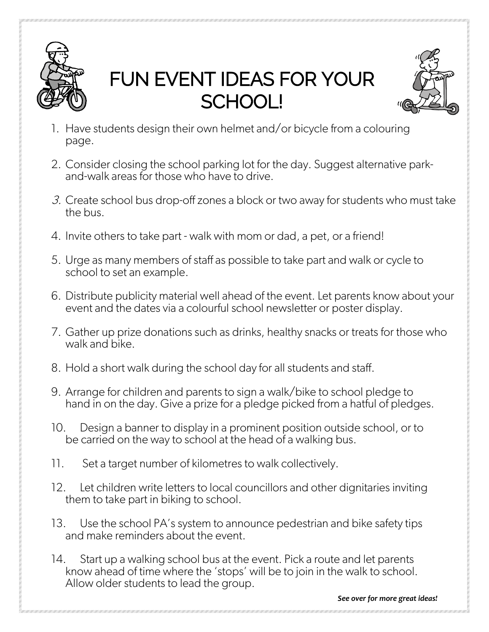

## FUN EVENT IDEAS FOR YOUR SCHOOL!



- 1. Have students design their own helmet and/or bicycle from a colouring page.
- 2. Consider closing the school parking lot for the day. Suggest alternative park- and-walk areas for those who have to drive.
- 3. Create school bus drop-off zones a block or two away for students who must take the bus.
- 4. Invite others to take part walk with mom or dad, a pet, or a friend!
- 5. Urge as many members of staff as possible to take part and walk or cycle to school to set an example.
- 6. Distribute publicity material well ahead of the event. Let parents know about your event and the dates via a colourful school newsletter or poster display.
- 7. Gather up prize donations such as drinks, healthy snacks or treats for those who walk and bike.
- 8. Hold a short walk during the school day for all students and staff.
- 9. Arrange for children and parents to sign a walk/bike to school pledge to hand in on the day. Give a prize for a pledge picked from a hatful of pledges.
- 10. Design a banner to display in a prominent position outside school, or to be carried on the way to school at the head of a walking bus.
- 11. Set a target number of kilometres to walk collectively.
- 12. Let children write letters to local councillors and other dignitaries inviting them to take part in biking to school.
- 13. Use the school PA's system to announce pedestrian and bike safety tips and make reminders about the event.
- 14. Start up a walking school bus at the event. Pick a route and let parents know ahead of time where the 'stops' will be to join in the walk to school. Allow older students to lead the group.

*See over for more great ideas!*